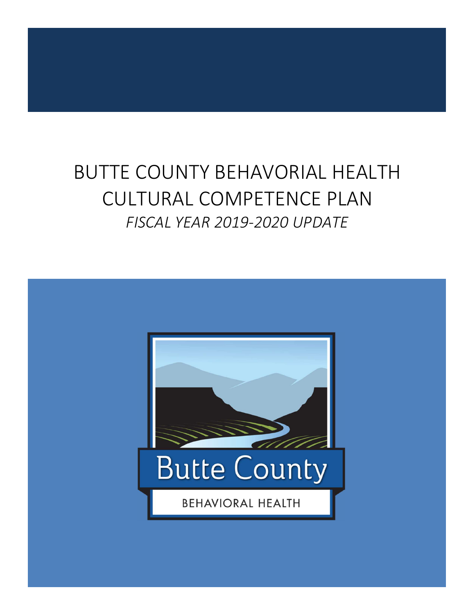# BUTTE COUNTY BEHAVORIAL HEALTH CULTURAL COMPETENCE PLAN *FISCAL YEAR 2019-2020 UPDATE*

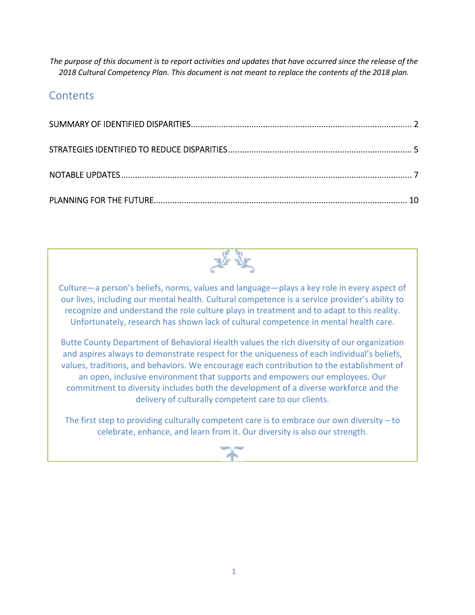*The purpose of this document is to report activities and updates that have occurred since the release of the 2018 Cultural Competency Plan. This document is not meant to replace the contents of the 2018 plan.* 

### **Contents**



Culture—a person's beliefs, norms, values and language—plays a key role in every aspect of our lives, including our mental health. Cultural competence is a service provider's ability to recognize and understand the role culture plays in treatment and to adapt to this reality. Unfortunately, research has shown lack of cultural competence in mental health care.

Butte County Department of Behavioral Health values the rich diversity of our organization and aspires always to demonstrate respect for the uniqueness of each individual's beliefs, values, traditions, and behaviors. We encourage each contribution to the establishment of an open, inclusive environment that supports and empowers our employees. Our commitment to diversity includes both the development of a diverse workforce and the delivery of culturally competent care to our clients.

The first step to providing culturally competent care is to embrace our own diversity – to celebrate, enhance, and learn from it. Our diversity is also our strength.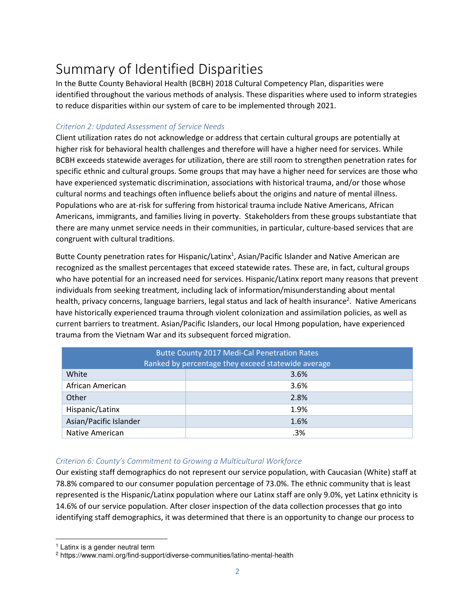# Summary of Identified Disparities

In the Butte County Behavioral Health (BCBH) 2018 Cultural Competency Plan, disparities were identified throughout the various methods of analysis. These disparities where used to inform strategies to reduce disparities within our system of care to be implemented through 2021.

#### *Criterion 2: Updated Assessment of Service Needs*

Client utilization rates do not acknowledge or address that certain cultural groups are potentially at higher risk for behavioral health challenges and therefore will have a higher need for services. While BCBH exceeds statewide averages for utilization, there are still room to strengthen penetration rates for specific ethnic and cultural groups. Some groups that may have a higher need for services are those who have experienced systematic discrimination, associations with historical trauma, and/or those whose cultural norms and teachings often influence beliefs about the origins and nature of mental illness. Populations who are at-risk for suffering from historical trauma include Native Americans, African Americans, immigrants, and families living in poverty. Stakeholders from these groups substantiate that there are many unmet service needs in their communities, in particular, culture-based services that are congruent with cultural traditions.

Butte County penetration rates for Hispanic/Latinx<sup>1</sup>, Asian/Pacific Islander and Native American are recognized as the smallest percentages that exceed statewide rates. These are, in fact, cultural groups who have potential for an increased need for services. Hispanic/Latinx report many reasons that prevent individuals from seeking treatment, including lack of information/misunderstanding about mental health, privacy concerns, language barriers, legal status and lack of health insurance<sup>2</sup>. Native Americans have historically experienced trauma through violent colonization and assimilation policies, as well as current barriers to treatment. Asian/Pacific Islanders, our local Hmong population, have experienced trauma from the Vietnam War and its subsequent forced migration.

| <b>Butte County 2017 Medi-Cal Penetration Rates</b><br>Ranked by percentage they exceed statewide average |      |  |  |  |
|-----------------------------------------------------------------------------------------------------------|------|--|--|--|
| White                                                                                                     | 3.6% |  |  |  |
| African American                                                                                          | 3.6% |  |  |  |
| Other                                                                                                     | 2.8% |  |  |  |
| Hispanic/Latinx                                                                                           | 1.9% |  |  |  |
| Asian/Pacific Islander                                                                                    | 1.6% |  |  |  |
| Native American                                                                                           | .3%  |  |  |  |

#### *Criterion 6: County's Commitment to Growing a Multicultural Workforce*

Our existing staff demographics do not represent our service population, with Caucasian (White) staff at 78.8% compared to our consumer population percentage of 73.0%. The ethnic community that is least represented is the Hispanic/Latinx population where our Latinx staff are only 9.0%, yet Latinx ethnicity is 14.6% of our service population. After closer inspection of the data collection processes that go into identifying staff demographics, it was determined that there is an opportunity to change our process to

<u>.</u>

<sup>&</sup>lt;sup>1</sup> Latinx is a gender neutral term

<sup>2</sup> https://www.nami.org/find-support/diverse-communities/latino-mental-health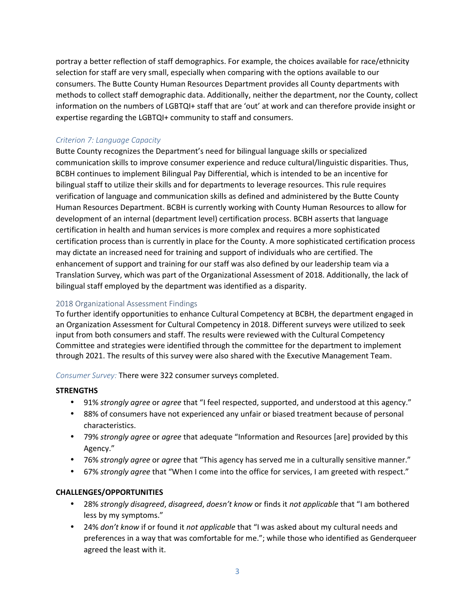portray a better reflection of staff demographics. For example, the choices available for race/ethnicity selection for staff are very small, especially when comparing with the options available to our consumers. The Butte County Human Resources Department provides all County departments with methods to collect staff demographic data. Additionally, neither the department, nor the County, collect information on the numbers of LGBTQI+ staff that are 'out' at work and can therefore provide insight or expertise regarding the LGBTQI+ community to staff and consumers.

#### *Criterion 7: Language Capacity*

Butte County recognizes the Department's need for bilingual language skills or specialized communication skills to improve consumer experience and reduce cultural/linguistic disparities. Thus, BCBH continues to implement Bilingual Pay Differential, which is intended to be an incentive for bilingual staff to utilize their skills and for departments to leverage resources. This rule requires verification of language and communication skills as defined and administered by the Butte County Human Resources Department. BCBH is currently working with County Human Resources to allow for development of an internal (department level) certification process. BCBH asserts that language certification in health and human services is more complex and requires a more sophisticated certification process than is currently in place for the County. A more sophisticated certification process may dictate an increased need for training and support of individuals who are certified. The enhancement of support and training for our staff was also defined by our leadership team via a Translation Survey, which was part of the Organizational Assessment of 2018. Additionally, the lack of bilingual staff employed by the department was identified as a disparity.

#### 2018 Organizational Assessment Findings

To further identify opportunities to enhance Cultural Competency at BCBH, the department engaged in an Organization Assessment for Cultural Competency in 2018. Different surveys were utilized to seek input from both consumers and staff. The results were reviewed with the Cultural Competency Committee and strategies were identified through the committee for the department to implement through 2021. The results of this survey were also shared with the Executive Management Team.

*Consumer Survey:* There were 322 consumer surveys completed.

#### **STRENGTHS**

- 91% *strongly agree* or *agree* that "I feel respected, supported, and understood at this agency."
- 88% of consumers have not experienced any unfair or biased treatment because of personal characteristics.
- 79% *strongly agree* or *agree* that adequate "Information and Resources [are] provided by this Agency."
- 76% *strongly agree* or *agree* that "This agency has served me in a culturally sensitive manner."
- 67% *strongly agree* that "When I come into the office for services, I am greeted with respect."

#### **CHALLENGES/OPPORTUNITIES**

- 28% *strongly disagreed*, *disagreed*, *doesn't know* or finds it *not applicable* that "I am bothered less by my symptoms."
- 24% *don't know* if or found it *not applicable* that "I was asked about my cultural needs and preferences in a way that was comfortable for me."; while those who identified as Genderqueer agreed the least with it.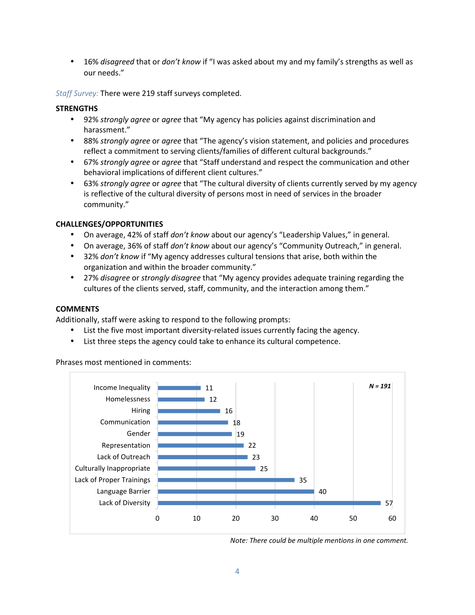• 16% *disagreed* that or *don't know* if "I was asked about my and my family's strengths as well as our needs."

*Staff Survey:* There were 219 staff surveys completed.

#### **STRENGTHS**

- 92% *strongly agree* or *agree* that "My agency has policies against discrimination and harassment."
- 88% *strongly agree* or *agree* that "The agency's vision statement, and policies and procedures reflect a commitment to serving clients/families of different cultural backgrounds."
- 67% *strongly agree* or *agree* that "Staff understand and respect the communication and other behavioral implications of different client cultures."
- 63% *strongly agree* or *agree* that "The cultural diversity of clients currently served by my agency is reflective of the cultural diversity of persons most in need of services in the broader community."

#### **CHALLENGES/OPPORTUNITIES**

- On average, 42% of staff *don't know* about our agency's "Leadership Values," in general.
- On average, 36% of staff *don't know* about our agency's "Community Outreach," in general.
- 32% *don't know* if "My agency addresses cultural tensions that arise, both within the organization and within the broader community."
- 27% *disagree* or *strongly disagree* that "My agency provides adequate training regarding the cultures of the clients served, staff, community, and the interaction among them."

#### **COMMENTS**

Additionally, staff were asking to respond to the following prompts:

- List the five most important diversity-related issues currently facing the agency.
- List three steps the agency could take to enhance its cultural competence.

Phrases most mentioned in comments:



*Note: There could be multiple mentions in one comment.*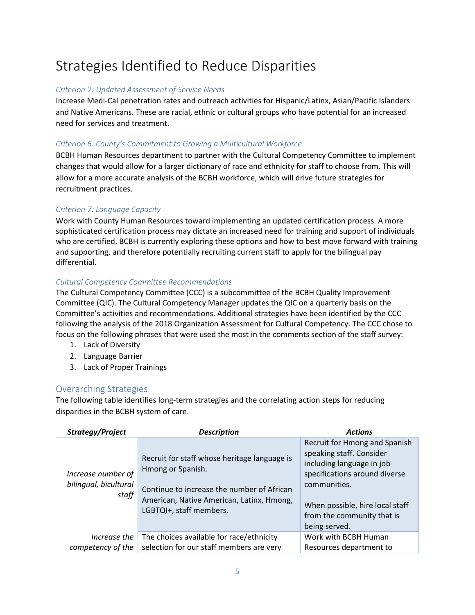## Strategies Identified to Reduce Disparities

#### *Criterion 2: Updated Assessment of Service Needs*

Increase Medi-Cal penetration rates and outreach activities for Hispanic/Latinx, Asian/Pacific Islanders and Native Americans. These are racial, ethnic or cultural groups who have potential for an increased need for services and treatment.

#### *Criterion 6: County's Commitment to Growing a Multicultural Workforce*

BCBH Human Resources department to partner with the Cultural Competency Committee to implement changes that would allow for a larger dictionary of race and ethnicity for staff to choose from. This will allow for a more accurate analysis of the BCBH workforce, which will drive future strategies for recruitment practices.

#### *Criterion 7: Language Capacity*

Work with County Human Resources toward implementing an updated certification process. A more sophisticated certification process may dictate an increased need for training and support of individuals who are certified. BCBH is currently exploring these options and how to best move forward with training and supporting, and therefore potentially recruiting current staff to apply for the bilingual pay differential.

#### *Cultural Competency Committee Recommendations*

The Cultural Competency Committee (CCC) is a subcommittee of the BCBH Quality Improvement Committee (QIC). The Cultural Competency Manager updates the QIC on a quarterly basis on the Committee's activities and recommendations. Additional strategies have been identified by the CCC following the analysis of the 2018 Organization Assessment for Cultural Competency. The CCC chose to focus on the following phrases that were used the most in the comments section of the staff survey:

- 1. Lack of Diversity
- 2. Language Barrier
- 3. Lack of Proper Trainings

#### Overarching Strategies

The following table identifies long-term strategies and the correlating action steps for reducing disparities in the BCBH system of care.

| Strategy/Project                                     | <b>Description</b>                                                                                                                                                                      | <b>Actions</b>                                                                                                                                                                                                            |
|------------------------------------------------------|-----------------------------------------------------------------------------------------------------------------------------------------------------------------------------------------|---------------------------------------------------------------------------------------------------------------------------------------------------------------------------------------------------------------------------|
| Increase number of<br>bilingual, bicultural<br>staff | Recruit for staff whose heritage language is<br>Hmong or Spanish.<br>Continue to increase the number of African<br>American, Native American, Latinx, Hmong,<br>LGBTQI+, staff members. | Recruit for Hmong and Spanish<br>speaking staff. Consider<br>including language in job<br>specifications around diverse<br>communities.<br>When possible, hire local staff<br>from the community that is<br>being served. |
| Increase the                                         | The choices available for race/ethnicity                                                                                                                                                | Work with BCBH Human                                                                                                                                                                                                      |
| competency of the                                    | selection for our staff members are very                                                                                                                                                | Resources department to                                                                                                                                                                                                   |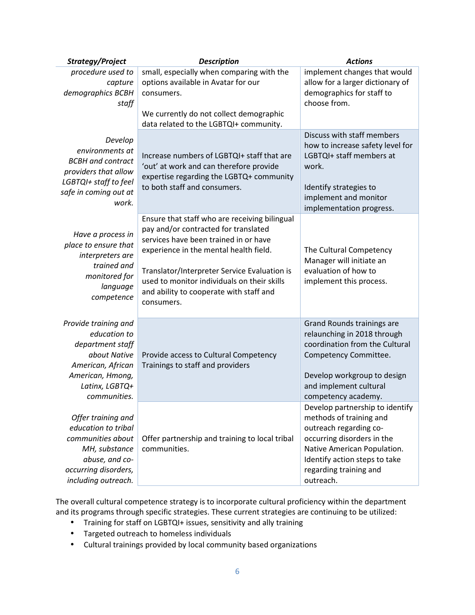| Strategy/Project                                                                                                                                    | <b>Description</b>                                                                                                                                                                                                                                                                                                               | <b>Actions</b>                                                                                                                                                                                                            |
|-----------------------------------------------------------------------------------------------------------------------------------------------------|----------------------------------------------------------------------------------------------------------------------------------------------------------------------------------------------------------------------------------------------------------------------------------------------------------------------------------|---------------------------------------------------------------------------------------------------------------------------------------------------------------------------------------------------------------------------|
| procedure used to<br>capture<br>demographics BCBH<br>staff                                                                                          | small, especially when comparing with the<br>options available in Avatar for our<br>consumers.<br>We currently do not collect demographic                                                                                                                                                                                        | implement changes that would<br>allow for a larger dictionary of<br>demographics for staff to<br>choose from.                                                                                                             |
| Develop<br>environments at<br><b>BCBH</b> and contract<br>providers that allow<br>LGBTQI+ staff to feel<br>safe in coming out at<br>work.           | data related to the LGBTQI+ community.<br>Increase numbers of LGBTQI+ staff that are<br>'out' at work and can therefore provide<br>expertise regarding the LGBTQ+ community<br>to both staff and consumers.                                                                                                                      | Discuss with staff members<br>how to increase safety level for<br>LGBTQI+ staff members at<br>work.<br>Identify strategies to<br>implement and monitor<br>implementation progress.                                        |
| Have a process in<br>place to ensure that<br>interpreters are<br>trained and<br>monitored for<br>language<br>competence                             | Ensure that staff who are receiving bilingual<br>pay and/or contracted for translated<br>services have been trained in or have<br>experience in the mental health field.<br>Translator/Interpreter Service Evaluation is<br>used to monitor individuals on their skills<br>and ability to cooperate with staff and<br>consumers. | The Cultural Competency<br>Manager will initiate an<br>evaluation of how to<br>implement this process.                                                                                                                    |
| Provide training and<br>education to<br>department staff<br>about Native<br>American, African<br>American, Hmong,<br>Latinx, LGBTQ+<br>communities. | Provide access to Cultural Competency<br>Trainings to staff and providers                                                                                                                                                                                                                                                        | Grand Rounds trainings are<br>relaunching in 2018 through<br>coordination from the Cultural<br>Competency Committee.<br>Develop workgroup to design<br>and implement cultural<br>competency academy.                      |
| Offer training and<br>education to tribal<br>communities about<br>MH, substance<br>abuse, and co-<br>occurring disorders,<br>including outreach.    | Offer partnership and training to local tribal<br>communities.                                                                                                                                                                                                                                                                   | Develop partnership to identify<br>methods of training and<br>outreach regarding co-<br>occurring disorders in the<br>Native American Population.<br>Identify action steps to take<br>regarding training and<br>outreach. |

The overall cultural competence strategy is to incorporate cultural proficiency within the department and its programs through specific strategies. These current strategies are continuing to be utilized:

- Training for staff on LGBTQI+ issues, sensitivity and ally training
- Targeted outreach to homeless individuals
- Cultural trainings provided by local community based organizations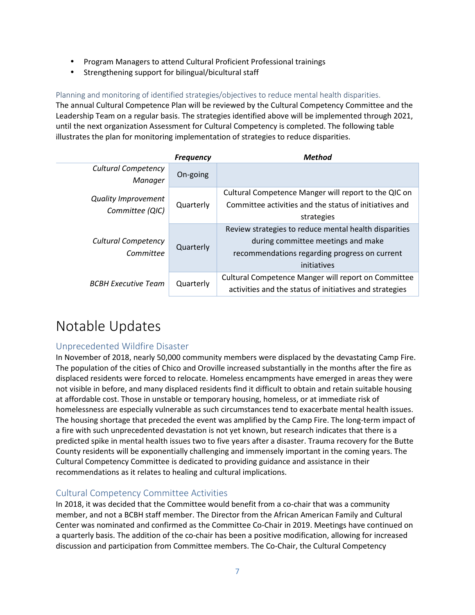- Program Managers to attend Cultural Proficient Professional trainings
- Strengthening support for bilingual/bicultural staff

Planning and monitoring of identified strategies/objectives to reduce mental health disparities.

The annual Cultural Competence Plan will be reviewed by the Cultural Competency Committee and the Leadership Team on a regular basis. The strategies identified above will be implemented through 2021, until the next organization Assessment for Cultural Competency is completed. The following table illustrates the plan for monitoring implementation of strategies to reduce disparities.

|                                               | <b>Frequency</b> | <b>Method</b>                                           |
|-----------------------------------------------|------------------|---------------------------------------------------------|
| <b>Cultural Competency</b>                    | On-going         |                                                         |
| Manager                                       |                  |                                                         |
| <b>Quality Improvement</b><br>Committee (QIC) |                  | Cultural Competence Manger will report to the QIC on    |
|                                               | Quarterly        | Committee activities and the status of initiatives and  |
|                                               |                  | strategies                                              |
|                                               | Quarterly        | Review strategies to reduce mental health disparities   |
| <b>Cultural Competency</b>                    |                  | during committee meetings and make                      |
| Committee                                     |                  | recommendations regarding progress on current           |
|                                               |                  | initiatives                                             |
| <b>BCBH Executive Team</b>                    | Quarterly        | Cultural Competence Manger will report on Committee     |
|                                               |                  | activities and the status of initiatives and strategies |

### Notable Updates

#### Unprecedented Wildfire Disaster

In November of 2018, nearly 50,000 community members were displaced by the devastating Camp Fire. The population of the cities of Chico and Oroville increased substantially in the months after the fire as displaced residents were forced to relocate. Homeless encampments have emerged in areas they were not visible in before, and many displaced residents find it difficult to obtain and retain suitable housing at affordable cost. Those in unstable or temporary housing, homeless, or at immediate risk of homelessness are especially vulnerable as such circumstances tend to exacerbate mental health issues. The housing shortage that preceded the event was amplified by the Camp Fire. The long-term impact of a fire with such unprecedented devastation is not yet known, but research indicates that there is a predicted spike in mental health issues two to five years after a disaster. Trauma recovery for the Butte County residents will be exponentially challenging and immensely important in the coming years. The Cultural Competency Committee is dedicated to providing guidance and assistance in their recommendations as it relates to healing and cultural implications.

#### Cultural Competency Committee Activities

In 2018, it was decided that the Committee would benefit from a co-chair that was a community member, and not a BCBH staff member. The Director from the African American Family and Cultural Center was nominated and confirmed as the Committee Co-Chair in 2019. Meetings have continued on a quarterly basis. The addition of the co-chair has been a positive modification, allowing for increased discussion and participation from Committee members. The Co-Chair, the Cultural Competency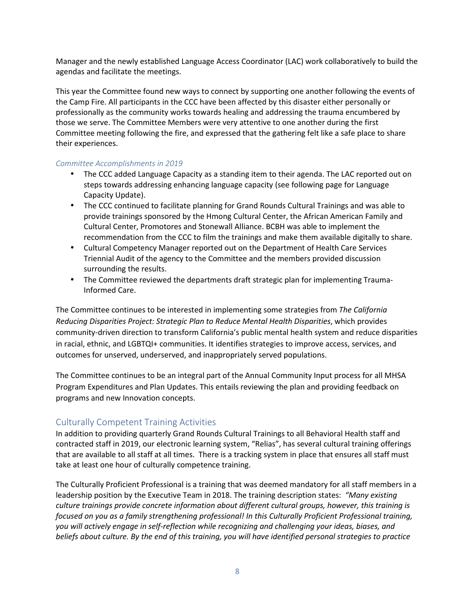Manager and the newly established Language Access Coordinator (LAC) work collaboratively to build the agendas and facilitate the meetings.

This year the Committee found new ways to connect by supporting one another following the events of the Camp Fire. All participants in the CCC have been affected by this disaster either personally or professionally as the community works towards healing and addressing the trauma encumbered by those we serve. The Committee Members were very attentive to one another during the first Committee meeting following the fire, and expressed that the gathering felt like a safe place to share their experiences.

#### *Committee Accomplishments in 2019*

- The CCC added Language Capacity as a standing item to their agenda. The LAC reported out on steps towards addressing enhancing language capacity (see following page for Language Capacity Update).
- The CCC continued to facilitate planning for Grand Rounds Cultural Trainings and was able to provide trainings sponsored by the Hmong Cultural Center, the African American Family and Cultural Center, Promotores and Stonewall Alliance. BCBH was able to implement the recommendation from the CCC to film the trainings and make them available digitally to share.
- Cultural Competency Manager reported out on the Department of Health Care Services Triennial Audit of the agency to the Committee and the members provided discussion surrounding the results.
- The Committee reviewed the departments draft strategic plan for implementing Trauma-Informed Care.

The Committee continues to be interested in implementing some strategies from *The California Reducing Disparities Project: Strategic Plan to Reduce Mental Health Disparities*, which provides community-driven direction to transform California's public mental health system and reduce disparities in racial, ethnic, and LGBTQI+ communities. It identifies strategies to improve access, services, and outcomes for unserved, underserved, and inappropriately served populations.

The Committee continues to be an integral part of the Annual Community Input process for all MHSA Program Expenditures and Plan Updates. This entails reviewing the plan and providing feedback on programs and new Innovation concepts.

#### Culturally Competent Training Activities

In addition to providing quarterly Grand Rounds Cultural Trainings to all Behavioral Health staff and contracted staff in 2019, our electronic learning system, "Relias", has several cultural training offerings that are available to all staff at all times. There is a tracking system in place that ensures all staff must take at least one hour of culturally competence training.

The Culturally Proficient Professional is a training that was deemed mandatory for all staff members in a leadership position by the Executive Team in 2018. The training description states: *"Many existing culture trainings provide concrete information about different cultural groups, however, this training is focused on you as a family strengthening professional! In this Culturally Proficient Professional training, you will actively engage in self-reflection while recognizing and challenging your ideas, biases, and beliefs about culture. By the end of this training, you will have identified personal strategies to practice*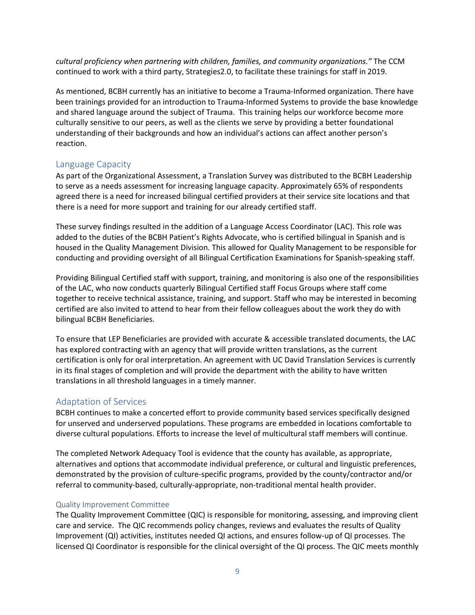*cultural proficiency when partnering with children, families, and community organizations."* The CCM continued to work with a third party, Strategies2.0, to facilitate these trainings for staff in 2019.

As mentioned, BCBH currently has an initiative to become a Trauma-Informed organization. There have been trainings provided for an introduction to Trauma-Informed Systems to provide the base knowledge and shared language around the subject of Trauma. This training helps our workforce become more culturally sensitive to our peers, as well as the clients we serve by providing a better foundational understanding of their backgrounds and how an individual's actions can affect another person's reaction.

#### Language Capacity

As part of the Organizational Assessment, a Translation Survey was distributed to the BCBH Leadership to serve as a needs assessment for increasing language capacity. Approximately 65% of respondents agreed there is a need for increased bilingual certified providers at their service site locations and that there is a need for more support and training for our already certified staff.

These survey findings resulted in the addition of a Language Access Coordinator (LAC). This role was added to the duties of the BCBH Patient's Rights Advocate, who is certified bilingual in Spanish and is housed in the Quality Management Division. This allowed for Quality Management to be responsible for conducting and providing oversight of all Bilingual Certification Examinations for Spanish-speaking staff.

Providing Bilingual Certified staff with support, training, and monitoring is also one of the responsibilities of the LAC, who now conducts quarterly Bilingual Certified staff Focus Groups where staff come together to receive technical assistance, training, and support. Staff who may be interested in becoming certified are also invited to attend to hear from their fellow colleagues about the work they do with bilingual BCBH Beneficiaries.

To ensure that LEP Beneficiaries are provided with accurate & accessible translated documents, the LAC has explored contracting with an agency that will provide written translations, as the current certification is only for oral interpretation. An agreement with UC David Translation Services is currently in its final stages of completion and will provide the department with the ability to have written translations in all threshold languages in a timely manner.

#### Adaptation of Services

BCBH continues to make a concerted effort to provide community based services specifically designed for unserved and underserved populations. These programs are embedded in locations comfortable to diverse cultural populations. Efforts to increase the level of multicultural staff members will continue.

The completed Network Adequacy Tool is evidence that the county has available, as appropriate, alternatives and options that accommodate individual preference, or cultural and linguistic preferences, demonstrated by the provision of culture-specific programs, provided by the county/contractor and/or referral to community-based, culturally-appropriate, non-traditional mental health provider.

#### Quality Improvement Committee

The Quality Improvement Committee (QIC) is responsible for monitoring, assessing, and improving client care and service. The QIC recommends policy changes, reviews and evaluates the results of Quality Improvement (QI) activities, institutes needed QI actions, and ensures follow-up of QI processes. The licensed QI Coordinator is responsible for the clinical oversight of the QI process. The QIC meets monthly